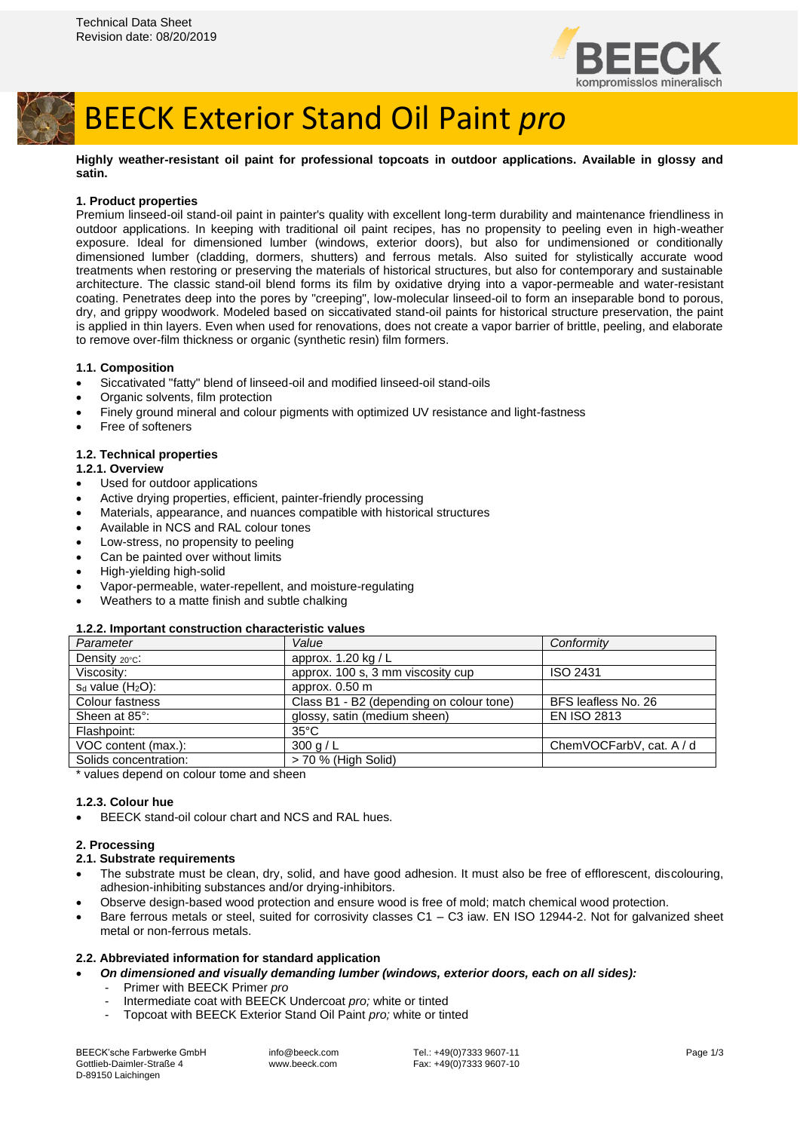

# BEECK Exterior Stand Oil Paint *pro*

**Highly weather-resistant oil paint for professional topcoats in outdoor applications. Available in glossy and satin.**

## **1. Product properties**

Premium linseed-oil stand-oil paint in painter's quality with excellent long-term durability and maintenance friendliness in outdoor applications. In keeping with traditional oil paint recipes, has no propensity to peeling even in high-weather exposure. Ideal for dimensioned lumber (windows, exterior doors), but also for undimensioned or conditionally dimensioned lumber (cladding, dormers, shutters) and ferrous metals. Also suited for stylistically accurate wood treatments when restoring or preserving the materials of historical structures, but also for contemporary and sustainable architecture. The classic stand-oil blend forms its film by oxidative drying into a vapor-permeable and water-resistant coating. Penetrates deep into the pores by "creeping", low-molecular linseed-oil to form an inseparable bond to porous, dry, and grippy woodwork. Modeled based on siccativated stand-oil paints for historical structure preservation, the paint is applied in thin layers. Even when used for renovations, does not create a vapor barrier of brittle, peeling, and elaborate to remove over-film thickness or organic (synthetic resin) film formers.

## **1.1. Composition**

- Siccativated "fatty" blend of linseed-oil and modified linseed-oil stand-oils
- Organic solvents, film protection
- Finely ground mineral and colour pigments with optimized UV resistance and light-fastness
- Free of softeners

## **1.2. Technical properties**

#### **1.2.1. Overview**

- Used for outdoor applications
- Active drying properties, efficient, painter-friendly processing
- Materials, appearance, and nuances compatible with historical structures
- Available in NCS and RAL colour tones
- Low-stress, no propensity to peeling
- Can be painted over without limits
- High-yielding high-solid
- Vapor-permeable, water-repellent, and moisture-regulating
- Weathers to a matte finish and subtle chalking

#### **1.2.2. Important construction characteristic values**

| Parameter               | Value                                    | Conformity               |
|-------------------------|------------------------------------------|--------------------------|
| Density $20^{\circ}$ c: | approx. $1.20 \text{ kg/L}$              |                          |
| Viscosity:              | approx. 100 s, 3 mm viscosity cup        | <b>ISO 2431</b>          |
| $s_d$ value ( $H_2O$ ): | approx. 0.50 m                           |                          |
| Colour fastness         | Class B1 - B2 (depending on colour tone) | BFS leafless No. 26      |
| Sheen at 85°:           | glossy, satin (medium sheen)             | <b>EN ISO 2813</b>       |
| Flashpoint:             | $35^{\circ}$ C                           |                          |
| VOC content (max.):     | 300 g/L                                  | ChemVOCFarbV, cat. A / d |
| Solids concentration:   | > 70 % (High Solid)                      |                          |
|                         |                                          |                          |

\* values depend on colour tome and sheen

# **1.2.3. Colour hue**

• BEECK stand-oil colour chart and NCS and RAL hues.

# **2. Processing**

# **2.1. Substrate requirements**

- The substrate must be clean, dry, solid, and have good adhesion. It must also be free of efflorescent, discolouring, adhesion-inhibiting substances and/or drying-inhibitors.
- Observe design-based wood protection and ensure wood is free of mold; match chemical wood protection.
- Bare ferrous metals or steel, suited for corrosivity classes C1 C3 iaw. EN ISO 12944-2. Not for galvanized sheet metal or non-ferrous metals.

#### **2.2. Abbreviated information for standard application**

- *On dimensioned and visually demanding lumber (windows, exterior doors, each on all sides):*
	- Primer with BEECK Primer *pro*
	- Intermediate coat with BEECK Undercoat *pro;* white or tinted
	- Topcoat with BEECK Exterior Stand Oil Paint *pro;* white or tinted

BEECK'sche Farbwerke GmbH Gottlieb-Daimler-Straße 4 D-89150 Laichingen

info@beeck.com www.beeck.com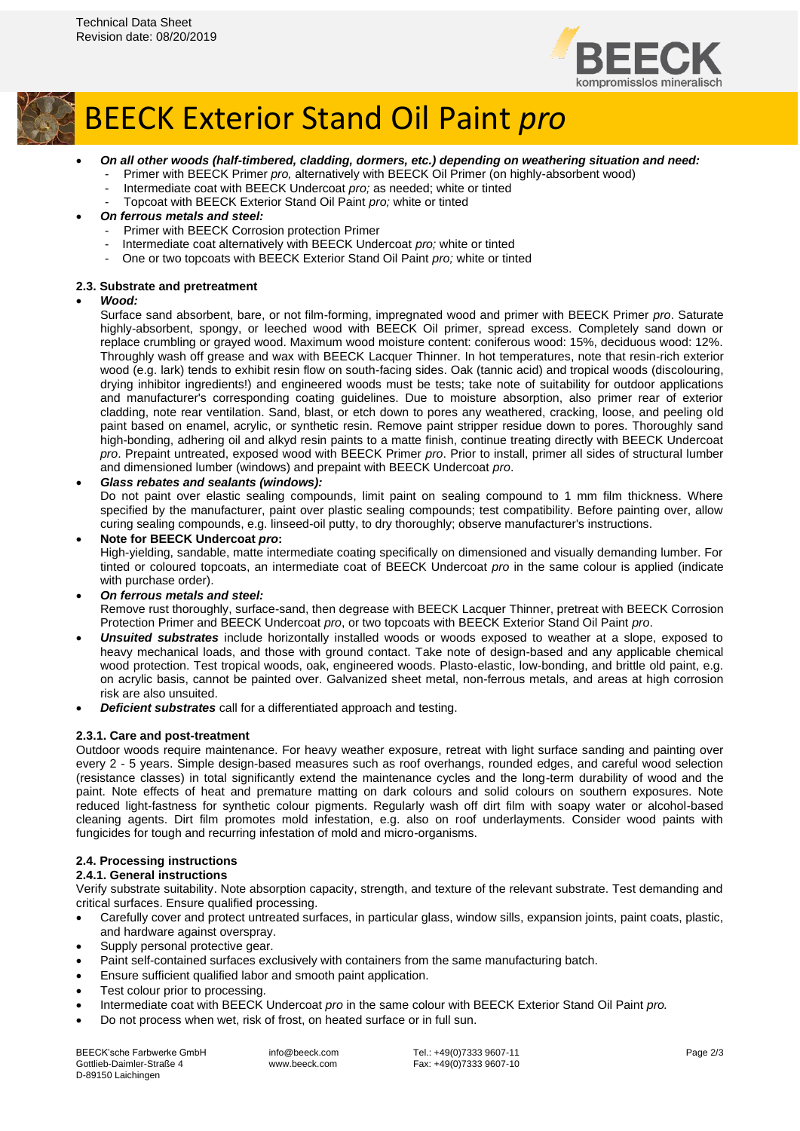



# BEECK Exterior Stand Oil Paint *pro*

- *On all other woods (half-timbered, cladding, dormers, etc.) depending on weathering situation and need:*
	- Primer with BEECK Primer *pro*, alternatively with BEECK Oil Primer (on highly-absorbent wood)
	- Intermediate coat with BEECK Undercoat *pro;* as needed; white or tinted
	- Topcoat with BEECK Exterior Stand Oil Paint *pro;* white or tinted
- *On ferrous metals and steel:*
	- Primer with BEECK Corrosion protection Primer
	- Intermediate coat alternatively with BEECK Undercoat *pro;* white or tinted
	- One or two topcoats with BEECK Exterior Stand Oil Paint *pro;* white or tinted

#### **2.3. Substrate and pretreatment**

#### • *Wood:*

Surface sand absorbent, bare, or not film-forming, impregnated wood and primer with BEECK Primer *pro*. Saturate highly-absorbent, spongy, or leeched wood with BEECK Oil primer, spread excess. Completely sand down or replace crumbling or grayed wood. Maximum wood moisture content: coniferous wood: 15%, deciduous wood: 12%. Throughly wash off grease and wax with BEECK Lacquer Thinner. In hot temperatures, note that resin-rich exterior wood (e.g. lark) tends to exhibit resin flow on south-facing sides. Oak (tannic acid) and tropical woods (discolouring, drying inhibitor ingredients!) and engineered woods must be tests; take note of suitability for outdoor applications and manufacturer's corresponding coating guidelines. Due to moisture absorption, also primer rear of exterior cladding, note rear ventilation. Sand, blast, or etch down to pores any weathered, cracking, loose, and peeling old paint based on enamel, acrylic, or synthetic resin. Remove paint stripper residue down to pores. Thoroughly sand high-bonding, adhering oil and alkyd resin paints to a matte finish, continue treating directly with BEECK Undercoat *pro*. Prepaint untreated, exposed wood with BEECK Primer *pro*. Prior to install, primer all sides of structural lumber and dimensioned lumber (windows) and prepaint with BEECK Undercoat *pro*.

#### • *Glass rebates and sealants (windows):*

Do not paint over elastic sealing compounds, limit paint on sealing compound to 1 mm film thickness. Where specified by the manufacturer, paint over plastic sealing compounds; test compatibility. Before painting over, allow curing sealing compounds, e.g. linseed-oil putty, to dry thoroughly; observe manufacturer's instructions.

• **Note for BEECK Undercoat** *pro***:** High-yielding, sandable, matte intermediate coating specifically on dimensioned and visually demanding lumber. For tinted or coloured topcoats, an intermediate coat of BEECK Undercoat *pro* in the same colour is applied (indicate with purchase order).

• *On ferrous metals and steel:*

Remove rust thoroughly, surface-sand, then degrease with BEECK Lacquer Thinner, pretreat with BEECK Corrosion Protection Primer and BEECK Undercoat *pro*, or two topcoats with BEECK Exterior Stand Oil Paint *pro*.

- *Unsuited substrates* include horizontally installed woods or woods exposed to weather at a slope, exposed to heavy mechanical loads, and those with ground contact. Take note of design-based and any applicable chemical wood protection. Test tropical woods, oak, engineered woods. Plasto-elastic, low-bonding, and brittle old paint, e.g. on acrylic basis, cannot be painted over. Galvanized sheet metal, non-ferrous metals, and areas at high corrosion risk are also unsuited.
- *Deficient substrates* call for a differentiated approach and testing.

### **2.3.1. Care and post-treatment**

Outdoor woods require maintenance. For heavy weather exposure, retreat with light surface sanding and painting over every 2 - 5 years. Simple design-based measures such as roof overhangs, rounded edges, and careful wood selection (resistance classes) in total significantly extend the maintenance cycles and the long-term durability of wood and the paint. Note effects of heat and premature matting on dark colours and solid colours on southern exposures. Note reduced light-fastness for synthetic colour pigments. Regularly wash off dirt film with soapy water or alcohol-based cleaning agents. Dirt film promotes mold infestation, e.g. also on roof underlayments. Consider wood paints with fungicides for tough and recurring infestation of mold and micro-organisms.

#### **2.4. Processing instructions**

## **2.4.1. General instructions**

Verify substrate suitability. Note absorption capacity, strength, and texture of the relevant substrate. Test demanding and critical surfaces. Ensure qualified processing.

- Carefully cover and protect untreated surfaces, in particular glass, window sills, expansion joints, paint coats, plastic, and hardware against overspray.
- Supply personal protective gear.
- Paint self-contained surfaces exclusively with containers from the same manufacturing batch.
- Ensure sufficient qualified labor and smooth paint application.
- Test colour prior to processing.
- Intermediate coat with BEECK Undercoat *pro* in the same colour with BEECK Exterior Stand Oil Paint *pro.*
- Do not process when wet, risk of frost, on heated surface or in full sun.

BEECK'sche Farbwerke GmbH Gottlieb-Daimler-Straße 4 D-89150 Laichingen

info@beeck.com www.beeck.com